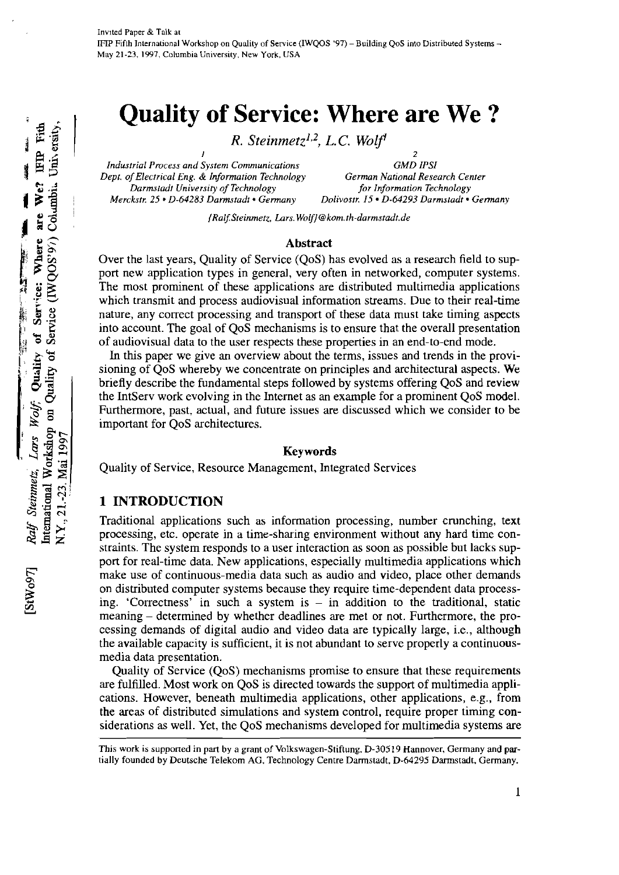# **Quality of Service: Where are We?**

*R. Steinmetz*<sup>1,2</sup>, *L.C. Wolf*<sup>*I*</sup>

*Indusrrial Pmcess and System Communicarions GMD IPSI Depr. of Electrical Eng.* & *Information Technology German National Research Center Darmstadt University of Technology* **for** *Information Technology**for Information Technology Merckstr. 25 ~0.64283 Darmstadt* . *Gennany Dolivostr. 15.0-64293 Darmsiadt* . *Gennany* 

[Ralf.Steinmetz, Lars.Wolf]@kom.th-darmstadt.de

#### **Abstract**

Over the last years, Quality of Service (QoS) has evolved as a research field to support new application types in general, very often in networked, computer systems. The most prominent of these applications are distributed multimedia applications which transmit and process audiovisual information streams. Due to their real-time nature, any correct processing and transport of these data must take timing aspects into account. The goal of QoS mechanisms is to ensure that the overall presentation of audiovisual data to the User respects these properties in an end-to-end mode.

In this paper we give an overview about the terms, issues and trends in the provisioning of QoS whereby we concentrate on principles and architectural aspects. We briefly describe the fundamental steps followed by systems offering QoS and review the IntServ work evolving in the internet as an example for a prominent QoS model. Furthermore, past, actual, and future issues are discussed which we consider to be important for QoS architectures.

#### **Keywords**

Quality of Service, Resource Management, Integrated Services

**i-** - **1 INTRODUCTION**  Traditional applications such as information processing, number crunching, text **3 8 2** processing, etc. operate in a time-sharing environment without any hard time constraints. The system responds to a user interaction as soon as possible but lacks support for real-time data. New applications, especially multimedia applications which make use of continuous-media data such as audio and video, place other demands<br>on distributed computer systems because they require time-dependent data processon distributed computer systems because they require time-dependent data processing. 'Correctness' in such a system is – in addition to the traditional, static meaning – determined by whether deadlines are met or not. Furt cessing demands of digital audio and video data are typically large, i.e., although the available capacity is sufficient, it is not abundant to serve properly a continuousmedia data presentation.

> Quality of Service (QoS) mechanisms promise to ensure that these requirements are fulfilled. Most work on QoS is directed towards the support of multimedia applications. However, beneath multimedia applications, other applications, e.g., from the areas of distributed simulations and system control, require proper timing considerations as well. Yet, the QoS mechanisms developed for multimedia systems are

This work is supponed in part by a grant of Volkswagen-Stiftung. D-30519 Hannover, Gemany and **par**tially founded by Deutsche Telekom AG. Technology Centre Darmstadt, D-64295 Darmstadt, Germany.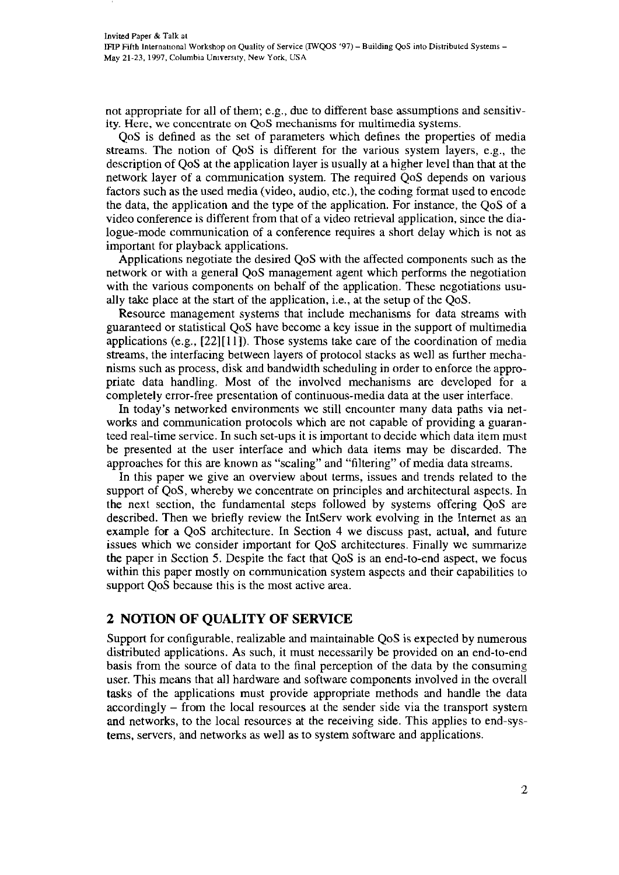not appropriate for all of them; e.g., due to different base assumptions and sensitivity. Here, we concentrate on QoS mechanisms for multimedia systems.

QoS is defined as the set of paranieters which defines the properties of media streams. The notion of  $\overline{Q}$  is different for the various system layers, e.g., the description of QoS at the application layer is usually at a higher level than that at the network layer of a communication system. The required QoS depends on various factors such as the used media (video, audio, etc.), the coding format used to encode the data, the application and the type of the application. For instance, the QoS of a video conference is different from that of a video retrieval application, since the dialogue-mode communication of a conference requires a short delay which is not as important for playback applications.

Applications negotiate the desired QoS with the affected components such as the network or with a general QoS management agent which performs the negotiation with the various components on behalf of the application. These negotiations usually take place at the start of the application, i.e., at the setup of the QoS.

Resource management systems that include mechanisms for data streams witlh guaranteed or statistical QoS have become a key issue in the support of multimedia applications (e.g., [22][11]). Those systems take care of the coordination of media streams, the interfacing between layers of protocol stacks as well as further mechanisms such as process, disk and bandwidth scheduling in order to enforce the appropriate data handling. Most of the involved mechanisms are developed for a completely error-free presentation of continuous-media data at the user interface.

In today's networked environments we still encounter many data paths via networks and communication protocols which are not capable of providing a guaranteed real-time service. In such set-ups it is important to decide which data item must be presented at the User interface and which data items may be discarded. The approaches for this are known as "scaling" and "filtering" of media data streams.

In this paper we give an overview about terms, issues and trends related to the support of QoS, whereby we concentrate on principles and architectural aspects. In the next section, the fundamental steps followed by systems offering QoS are described. Then we briefly review the IntServ work evolving in the Internet as an exarnple for a QoS architecture. In Section 4 we discuss past, actual, and future issues which we consider important for QoS architectures. Finally we summarize the paper in Section 5. Despite the fact that QoS is an end-to-end aspect, we focus within this paper mostly on communication system aspects and their capabilities to support QoS because this is the most active area.

#### **2 NOTION OF QUALITY OF SERVICE**

Support for configurable, realizable and maintainable QoS is expected by numerous distributed applications. As such, it must necessarily be provided on an end-to-end basis from the source of data to the final perception of the data by the consuminc user. This means that all hardware and software components involved in the overall tasks of the applications must provide appropriate methods and handle the data accordingly - from the local resources at the sender side via the transport systern and networks, to the local resources at the receiving side. This applies to end-systems, servers, and networks as well as to system software and applications.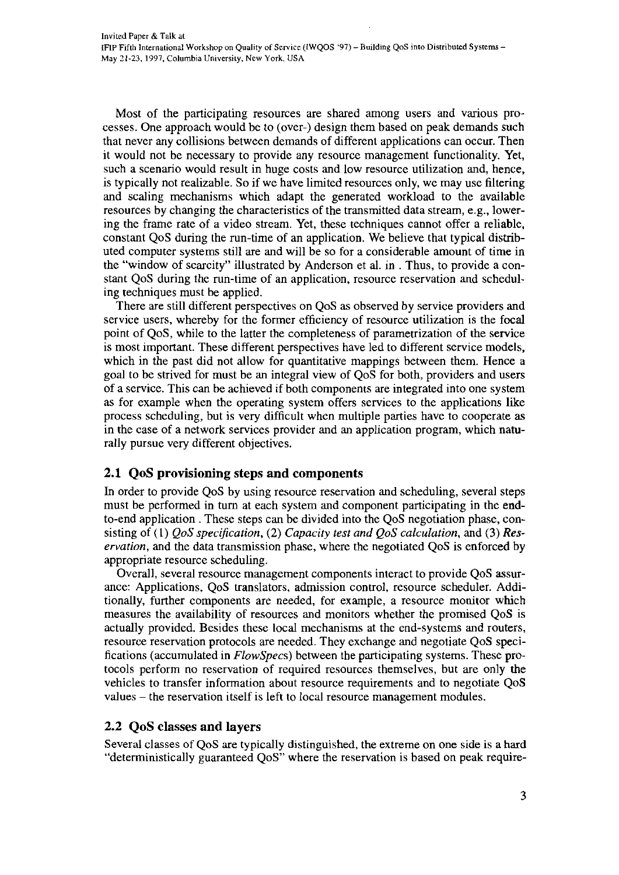Most of the participating resources are shaed among users and vaious processes. One approach would be to (over-) design them based on peak demands such that never any collisions between demands of different applications can occur. Then it would not be necessary to provide any resource management functionality. Yet, such a scenario would result in huge costs and low resource utilization and, hence, is typically not realizable. So if we have limited resources only, we may use filtering and scaling mechanisms which adapt the generated workload to the available resources by changing the characteristics of the transmitted data stream, e.g., lowering the frame rate of a video stream. Yet, these techniques cannot offer a reliable, constant QoS during the run-time of an application. We believe that typical distributed Computer systems still are and will be so for a considerable amount of time in the "window of scarcity" illustrated by Anderson et al. in . Thus, to provide a constant QoS during the run-time of an application, resource reservation and scheduling techniques must be applied.

There are still different perspectives on QoS as observed by service providers and service users, whereby for the former efficiency of resource utilization is the focai point of QoS, while to the latter the completeness of parametrization of the service is most important. These different perspectives have led to different service models, which in the past did not allow for quantitative mappings between them. Hence a goal to be strived for must be an integral view of QoS for both, providers and users of a semice. This can be achieved if both components are integrated into one system as for example when the operating system offers services to the applications like process scheduling, but is very difficult when multiple parties have to cooperate **as**  in the case of a network services provider and an application program, which naturally pursue very different objectives.

# **2.1 QoS provisioning steps and components**

In order to provide QoS by using resource reservation and scheduling, several steps must be performed in turn at each system and component participating in the endto-end application . These steps can be divided into the QoS negotiation phase, consisting of (1)  $QoS$  specification, (2) Capacity test and  $QoS$  calculation, and (3) Reservation, and the data transmission phase, where the negotiated QoS is enforced by appropriate resource scheduling.

Overall, several resource management components interact to provide QoS assurance: Applications, QoS translators, adrnission control, resource scheduler. Additionally, further cornponents are needed, for example, a resource monitor which measures the availability of resources and monitors whether the promised QoS is actuaily provided. Besides these local mechanisms at the end-systems and routers, resource reservation protocols are needed. They exchange and negotiate QoS specifications (accumulated in FlowSpecs) between the participating systems. These protocols perform no reservation of required resources themselves, but are only the vehicles to transfer information about resource requirements and to negotiate QoS values - the reservation itself is left to local resource management modules.

#### **2.2 QoS classes and layers**

Several classes of QoS are typically distinguished, the extreme on one side is a hard "deterministically guaranteed QoS" where the reservation is based on peak require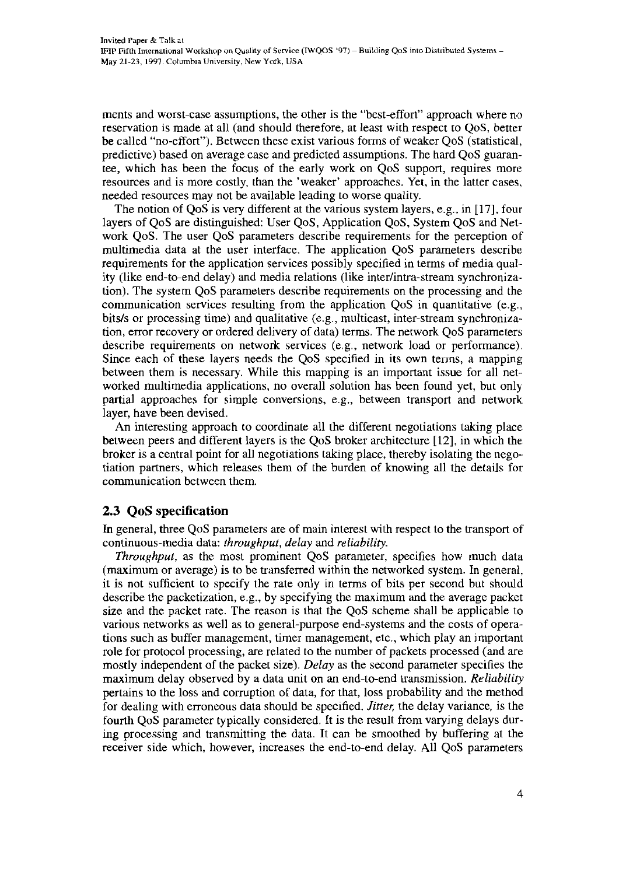ments and worst-case assumptions, the other is the "best-effort" approach where no reservation is made at all (and should therefore, at least with respect to QoS, better be called "no-effort"). Between these exist various forrns of weaker QoS (statistical, predictive) based on average case and predicted assumptions. The hard QoS guarantee, which has been the focus of the early work on QoS Support, requires more resources and is more costly, than the 'weaker' approaches. Yet, in the latter cases, needed resources may not be available leading to worse quality.

The notion of QoS is very different at the various system layers, e.g., in [17], four layers of QoS are distinguished: User QoS, Application QoS, System QoS and Network QoS. The user QoS parameters describe requirements for the perception of multimedia data at the user interface. The application QoS parameters describe requirements for the application services possibly specified in terms of media quality (like end-to-end delay) and media relations (like interlintra-stream synchronization). The system QoS parameters describe requirements on the processing and the communication services resulting from the application  $QoS$  in quantitative (e.g., bits/s or processing time) and qualitative (e.g., multicast, inter-stream synchronization, error recovery or ordered delivery of data) terms. The network QoS parameters describe requirements on network services (e.g., network load or performance). Since each of these layers needs the QoS specified in its own terms, a mapping; between them is necessary. While this mapping is an important issue for all net- worked multimedia applications, no overall solution has been found yet, but only partial approaches for simple conversions, e.g., between transport and network: layer, have been devised.

An interesting approach to coordinate all the different negotiations taking place: between peers and different layers is the QoS broker architecture [12], in which the broker is a central point for all negotiations taking place, thereby isolating the negotiation partners, which releases them of the burden of knowing all the details for communication between them.

# **2.3 QoS specification**

In general, three QoS parameters are of main interest with respect to the transport of' continuous-media data: *throughput, delay* and *reliability.* 

*Throughput*, as the most prominent QoS parameter, specifies how much data (maximum or average) is to be transferred within the networked system. In general, it is not sufficient to specify the rate only in terms of bits per second but should describe the packetization, e.g., by specifying the maximum and the average packet size and the packet rate. The reason is that the QoS scheme shall be applicable to various networks as well as to general-purpose end-systems and the costs of operations such as buffer management, timer management, eic., which play an important role for protocol processing, are related to the number of packets processed (and are mostly independent of the packet size). *Delay* as the second parameter specifies the maximum delay observed by a data unit on an end-to-end transmission. *Reliability*  pertains to the loss and conuption of data, for that, loss probability and the method for dealing with erroneous data should be specified. *Jitter;* the delay variante, is the fourth QoS parameter typically considered. It is the result from varying delays during processing and transmitting the data. It can be smoothed by buffering at the receiver side which, however, increases the end-to-end delay. All QoS parameters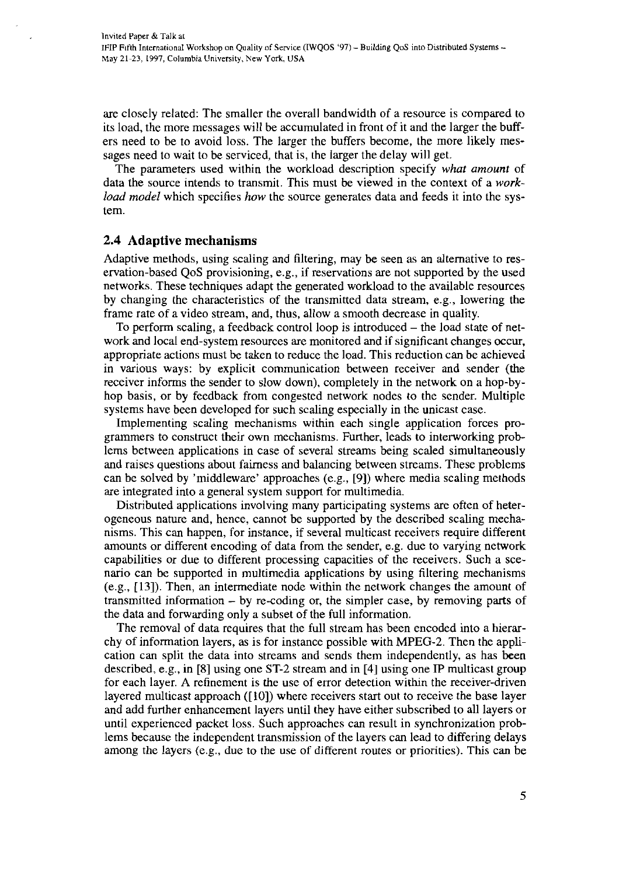are closely related: The smaller the overall bandwidth of a resource is compared to its load, the more messages will be accumulated in front of it and the larger the buffers need to be to avoid loss. The larger the buffers become, the more likely messages need to wait to be serviced, that is, the larger the delay will get.

The parameters used within the workload description specify *what amount* of data the source intends to transmit. This must be viewed in the context of a *workload model* which specifies *how* the source generates data and feeds it into the system.

#### 2.4 **Adaptive mechanisms**

Adaptive methods, using scaling and filtering, may be Seen as an alternative to reservation-based QoS provisioning, e.g., if reservations are not supported by the used networks. These techniques adapt the generated workload to the available resources by changing the characteristics of the transmitted data stream, e.g., lowering the frame rate of a video stream, and, thus, allow a smooth decrease in quality.

To perform scaling, a feedback control loop is introduced – the load state of network and local end-system resources are monitored and if significant changes occur, appropriate actions must be taken to reduce the load. This reduction can be achieved in various ways: by explicit communication between receiver and sender (the receiver informs the sender to slow down), completely in the network on a hop-byhop basis, or by feedback from congested network nodes to the sender. Multiple systems have been developed for such scaling especially in the unicast case.

Implementing scaling mechanisms within each single application forces programmers to construct their own mechanisms. Further, leads to interworking problems between applications in case of several streams being scaled simultaneously and raises questions about fairness and balancing between streams. These problems can be solved by 'middleware' approaches (e.g., [9]) where media scaling methods are integrated into a general system support for multimedia.

Distributed applications involving many participating systems are often of heterogeneous nature and, hence, cannot be supported by the described scaling mechanisms. This can happen, for instance, if several multicast receivers require different amounts or different encoding of data from the sender, e.g. due to varying network capabilities or due to different processing capacities of the receivers. Such a scenario can be supported in multirnedia applications by using filtering mechanisms (e.g., [13]). Then, an intermediate node within the network changes the amount of transmitted information - by re-coding or, the simpler case, by removing parts of the data and forwarding only a subset of the full information.

The removal of data requires that the full stream has been encoded into a hierarchy of information layers, as is for instance possible with MPEG-2. Then the application can split the data into streams and sends them independently, as has been described, e.g., in [8] using one ST-2 stream and in [4] using one IP multicast group for each layer. A refinement is the use of error detection within the receiver-driven layered multicast approach ([10]) where receivers start out to receive the base layer and add further enhancement layers until they have either subscribed to all layers or until experienced packet loss. Such approaches can result in synchronization problems because the independent transmission of the layers can lead to differing delays among the layers (e.g., due to the use of different routes or priorities). This can be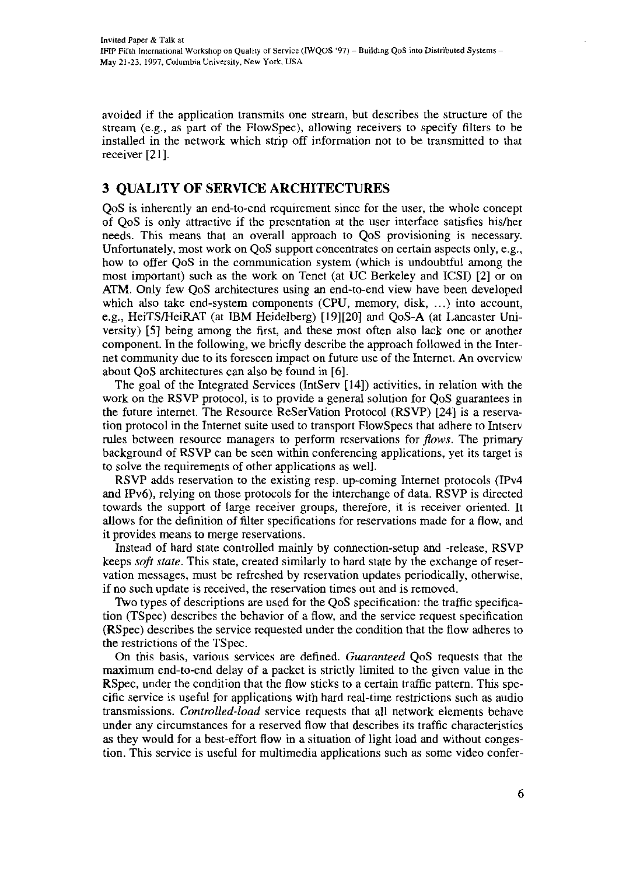avoided if the application transmits one stream, but describes the structure of the stream (e.g., as patt of the FlowSpec), allowing receivers to specify filters to be installed in the network which strip off information not to be transmitted to that receiver [2 I].

#### **3 QUALITY OF SERVICE ARCHITECTURES**

QoS is inherently an end-to-end requirement since for the User, the whole concept of QoS is only attractive if the presentation at the User interface satisfies hislher needs. This means that an overall approach to QoS provisioning is necessary. Unfortunately, most work on QoS support concentrates on certain aspects only, e.g., how to offer QoS in the communication system (which is undoubtful among the most important) such as the work on Tenet (at UC Berkeley and ICSI) [2] or on ATM. Only few QoS architectures using an end-to-end view have been developed which also take end-system components (CPU, memory, disk, ...) into account, e.g., HeiTSIHeiRAT (at IBM Heidelberg) [19][20] and QoS-A (at Lancaster University) [5] being among the first, and these most often also lack one or another component. In the following, we briefly describe the approach followed in the Inter-. net community due to its foreseen impact on future use of the Internet. An overview about QoS architectures can also be found in [6].

The goal of the Integrated Services (IntServ [14]) activities, in relation with the: work on the RSVP protocol, is to provide a general solution for QoS guarantees in the future internet. The Resource Reservation Protocol (RSVP) [24] is a reserva-. tion protocol in the Internet suite used to transport FlowSpecs that adhere to Intserv rules between resource managers to perform reservations for *flows*. The primary background of RSVP can be seen within conferencing applications, yet its target is to solve the requirements of other applications as well.

RSVP adds reservation to the existing resp. up-coming Internet protocols (IPv4 and IPv6), relying on those protocols for the interchange of data. RSVP is directed towards the support of large receiver groups, therefore, it is receiver oriented. It allows for the definition of filter specifications for reservations made for a flow, and it provides means to merge reservations.

Instead of hard state controlled mainly by connection-setup and -release, RSVP keeps *soft state*. This state, created similarly to hard state by the exchange of reservation messages, must be refreshed by reservation updates periodically, otherwise, if no such update is received, the reservation times out and is removed.

Two types of descriptions are used for the QoS specification: the traffic specification (TSpec) describes the behavior of a flow, and the service request specification (RSpec) describes the service requested under the condition that the flow adheres to the restrictions of the TSpec.

On this basis, various services are defined. *Guaranteed* QoS requests that the maximum end-to-end delay of a packet is strictly limited to the given value in the RSpec, under the condition that the flow sticks to a certain traffic pattern. This specific service is useful for applications with hard real-time restrictions such as audio transrnissions. *Controlled-load* service requests that all network elements behave under any circumstances for a reserved flow that describes its traffic characteristics as they would for a best-effort flow in a situation of light load and without congestion. This Service is useful for multimedia applications such as some video confer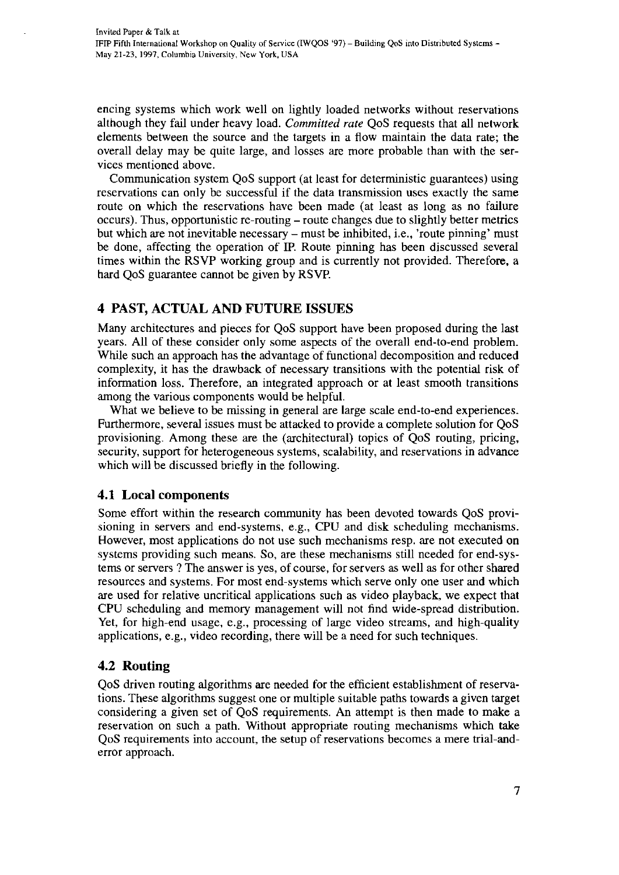encing systems which work well on lightly loaded networks without reservations although they fail under heavy load. *Comrnirted rate* QoS requests that all network elements between the source and the targets in a flow maintain the data rate; the overall delay may be quite large, and losses are more probable than with the services mentioned above.

Communication system QoS support (at least for deterministic guarantees) using reservations can only be successful if the data transmission uses exactly the Same route on which the reservations have been made (at least **as** long as no failure occurs). Thus, opportunistic re-routing - route changes due to slightly better metrics but which are not inevitable necessary - must be inhibited, i.e., 'route pinning' must be done, affecting the operation of IP. Route pinning has been discussed several times within the RSVP working group and is currently not provided. Therefore, a hard QoS guarantee cannot be given by RSVP.

# **4 PAST, ACTUAL AND FUTURE ISSUES**

Many architectures and pieces for QoS support have been proposed during the last years. All of these consider only some aspects of the overall end-to-end problem. While such an approach has the advantage of functional decomposition and reduced complexity, it has the drawback of necessary transitions with the potential risk of information loss. Therefore, an integrated approach or at least smooth transitions among the various components would be helpful.

What we believe to be missing in general are large scale end-to-end experiences. Furthermore, several issues must be attacked to provide a complete solution for QoS provisioning. Among these are the (architectural) topics of QoS routing, pricing, security, support for heterogeneous systems, scalability, and reservations in advance which will be discussed briefly in the following.

# **4.1 Local components**

Some effort within the research comrnunity has been devoted towards QoS provisioning in servers and end-systems, e.g., CPU and disk scheduling mechanisms. However, most applications do not use such mechanisms resp. are not executed on systems providing such means. So, are these mechanisms still needed for end-systems or servers ? The answer is yes, of Course, for servers as well as for other shared resources and systems. For most end-systems which serve only one user and which are used for relative uncritical applications such as video playback, we expect that CPU scheduling and memory management will not find wide-spread distribution. Yet, for high-end usage, e.g., processing of large video streams, and high-quality applications, e.g., video recording, there will be a need for such techniques.

# **4.2 Routing**

QoS driven routing algorithms are needed for the efficient establishment of reservations. These algorithms suggest one or multiple suitable paths towards a given target considering a given set of QoS requirements. An attempt is then made to make a reservation on such a path. Without appropriate routing mechanisms which take QoS requirements into account, the setup of reservations becomes a mere trial-anderror approach.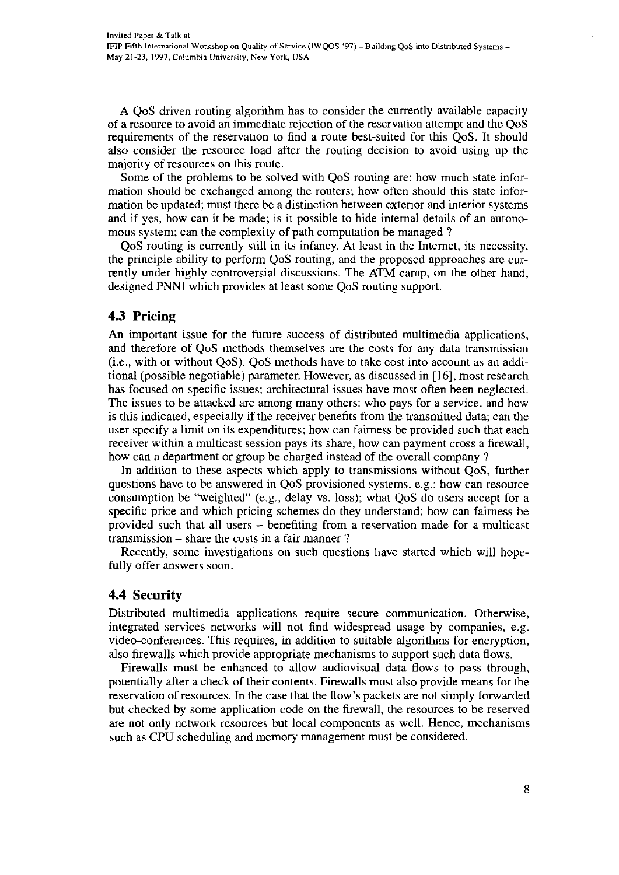A QoS driven routing algorithm has to consider the currently available capacity of a resource to avoid an immediate rejection of the reservation attempt and the QoS requirements of the resewation to find a route best-suited for this QoS. It should also consider the resource load after the routing decision to avoid using up the majority of resources on this route.

Some of the problems to be solved with QoS routing are: how much state information should be exchanged among the routers; how often should this state information be updated; must there be a distinction between exterior and interior systems and if yes, how can it be made; is it possible to hide intemal details of an autonomous system; can the complexity of path computation be managed ?

QoS routing is currently still in its infancy. At least in the Internet, its necessity, the principle ability to perform QoS routing, and the proposed approaches are currently under highly controversial discussions. The ATM camp, on the other hand, designed PNNI which provides at least some QoS routing support.

#### **4.3 Pricing**

**An** important issue for the future success of distributed multimedia applications, and therefore of QoS methods themselves are the costs for any data transmissian (i.e., with or without QoS). QoS methods have to take cost into account as an additional (possible negotiable) parameter. However, as discussed in [16], most research has focused on specific issues; architectural issues have most often been neglected. The issues to be attacked are among many others: who pays for a service, and how is this indicated, especially if the receiver benefits from the transmitted data; can the user specify a limit on its expenditures; how can fairness be provided such that each receiver within a multicast session pays its share, how can payment cross a firewall, how can a department or group be charged instead of the overall company ?

In addition to these aspects which apply to transmissions without QoS, further questions have to be answered in QoS provisioned systems, e.g.: how can resource consumption be "weighted" (e.g., delay vs. loss); what QoS do users accept for a specific price and which pricing schemes do they understand; how can faimess be provided such that all users - benefiting from a resewation made for a multicast transmission - share the costs in a fair manner ?

Recently, some investigations on such questions have started which will hopefully offer answers soon.

#### **4.4 Security**

Distributed multimedia applications require secure communication. Otherwise, integrated services networks will not find widespread usage by companies, e.g. video-conferences. This requires, in addition to suitable algorithms for encryption, also firewalls which provide appropriate mechanisms to support such data Rows.

Firewalls must be enhanced to allow audiovisual data flows to pass through, potentially after a check of their contents. Firewalls must also provide means for the reservation of resources. In the case that the flow's packets are not simply forwarded but checked by some application code on the firewall, the resources to be resewed are not only network resources but local components as well. Hence, mechanisnis such as CPU scheduling and memory management must be considered.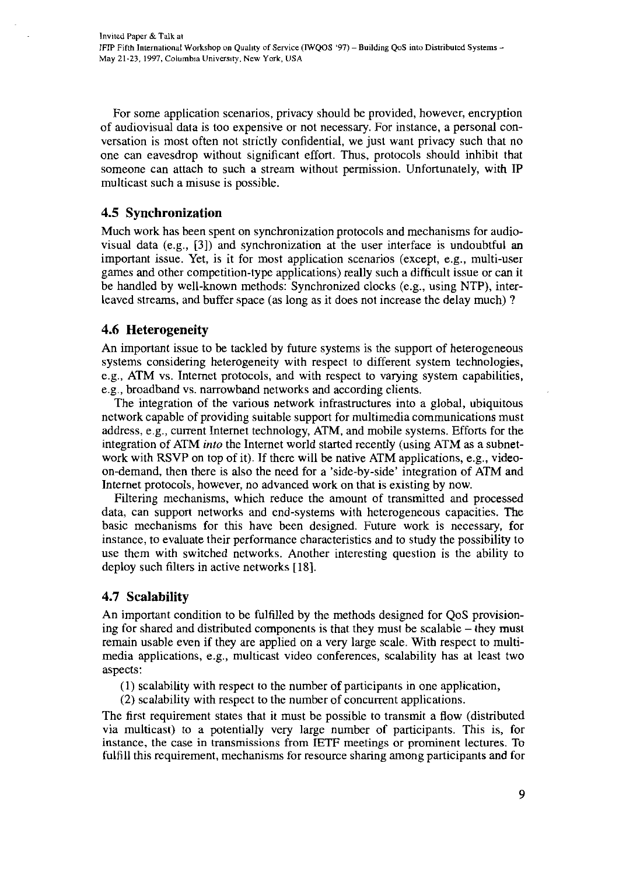For some application scenarios, privacy should be provided, however, encryption of audiovisual data is too expensive or not necessary. For instance, a personal conversation is most often not strictly confidential, we just want privacy such that no one can eavesdrop without significant effort. Thus, protocols should inhibit that someone can attach to such a stream without permission. Unfortunately, with IP multicast such a misuse is possible.

# **4.5 Synchronization**

Much work has been spent on synchronization protocols and mechanisms for audiovisual data (e.g., **[3])** and synchronization at the User interface is undoubtful an important issue. Yet, is it for most application scenarios (except, e.g., multi-user games and other competition-type applications) really such a difficult issue or can it be handled by well-known methods: Synchronized clocks (e.g., using NTP), interleaved strearns, and buffer space (as long as it does not increase the delay much) ?

# **4.6 Heterogeneity**

An important issue to be tackled by future systems is the support of heterogeneous systems considering heterogeneity with respect to different system technologies, e.g., ATM vs. Internet protocols, and with respect to varying system capabilities, e.g., broadband vs. narrowband networks and according clients.

The integration of the various network infrastmctures into a global, ubiquitous network capable of providing suitable support for multimedia communications must address, e.g., current Internet technology, ATM, and mobile systems. Efforts for the integration of ATM into the Internet world started recently (using ATM as a subnetwork with RSVP on top of it). If there will be native ATM applications, e.g., videoon-demand, then there is also the need for a 'side-by-side' integration of ATM and Internet protocols, however, no advanced work on that is existing by now.

Filtering mechanisms, which reduce the amount of transmitted and processed data, can support networks and end-systems with heterogeneous capacities. The basic mechanisms for this have been designed. Future work is necessary, for instance, to evaluate their performance characteristics and to study the possibility to use them with switched networks. Another interesting question is the ability to deploy such filters in active networks [18].

# **4.7 Scalability**

An important condition to be fulfilled by the methods designed for QoS provisioning for shared and distributed components is that they must be scalable  $-$  they must remain usable even if they are applied on a very lage scale. With respect to multimedia applications, e.g., multicast video conferences, scalability has at least two aspects:

(1) scalability with respect to the number of participants in one application,

(2) scalability with respect to the number of concurrent applications.

The first requirement states that it must be possible to transmit a flow (distributed via multicast) to a potentially very large number of participants. This is, for instance, the case in transrnissions from IETF meetings or prominent lectures. To fulfill this requirement, mechanisms for resource sharing among participants and for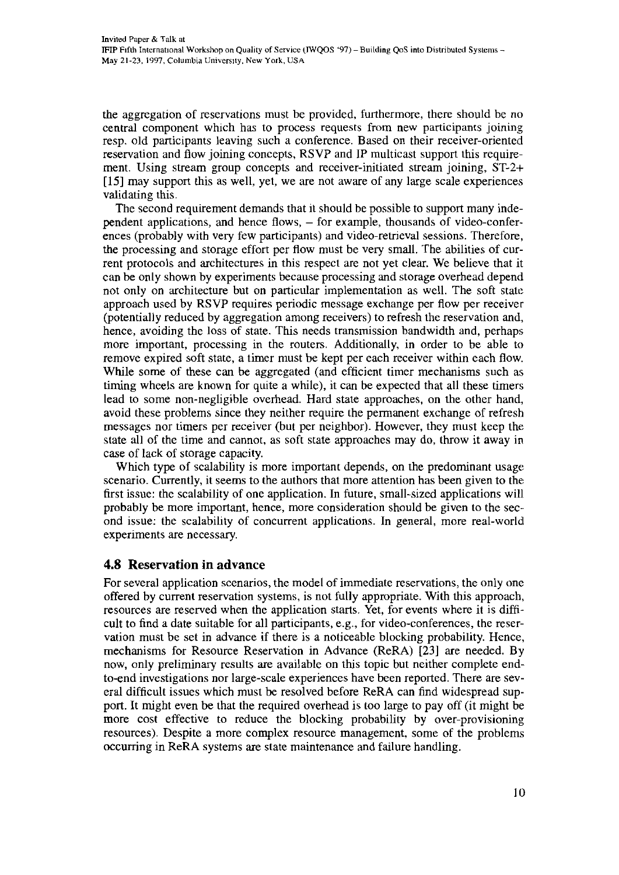the aggregation of reservations must be provided, furtherrnore, there should be no central cornponent which has to process requests from new participants joining resp. old participants leaving such a conference. Based on their receiver-oriented resemation and flow joining concepts, RSVP and IP multicast support this requirement. Using stream group concepts and receiver-initiated stream joining, ST-2+ **[15]** may support this as well, yet, we are not aware of any large scale experiences validating this.

The second requirement demands that it should be possible to support many independent applications, and hence flows, – for example, thousands of video-conferences (probably with very few participants) and video-retrieval sessions. Therefore, the processing and storage effort per flow must be very srnall. The abilities of current protocols and architectures in this respect are not yet clear. We believe that it can be only shown by experiments because processing and storage overhead depend not only on architecture but on particular implementation as well. The soft state approach used by RSVP requires periodic message exchange per flow per receiver (potentially reduced by aggregation among receivers) to refresh the reservation and, hence, avoiding the loss of state. This needs transmission bandwidth and, perhaps more important, processing in the routers. Additionally, in order to be able to remove expired soft state, a timer must be kept per each receiver within each flow. While some of these can be aggregated (and efficient timer mechanisms such as timing wheels are known for quite a while), it can be expected that all these timers lead to some non-negligible overhead. Hard state approaches, on the other hand, avoid these problems since they neither require the permanent exchange of refresh messages nor timers per receiver (but per neighbor). However, they must keep thc: state all of the time and cannot, as soft state approaches may do, throw it away in case of lack of storage capacity.

Which type of scalability is more important depends, on the predominant usage: scenario. Currently, it seems to the authors that more attention has been given to the: first issue: the scalability of one application. In future, small-sized applications will probably be rnore important, hence, more consideration should be given to the second issue: the scalability of concurrent applications. In general, more real-world experiments are necessary.

# **4.8 Reservation in advance**

For several application scenarios, the rnodel of immediate reservations, the only one offered by current reservation systems, is not fully appropriate. With this approach, resources are reserved when the application starts. Yet, for events where it is difficult to find a date suitable for all participants, e.g., for video-conferences, the reservation must be set in advance if there is a noticeable blocking probability. Hence, mechanisrns for Resource Reservation in Advance (ReRA) **[23]** are needed. By now, only preliminary results are available on this topic but neither complete endto-end investigations nor large-scale experiences have been reported. There are several difficult issues which must be resolved before ReRA can find widespread support. It might even be that the required overhead is too large to pay off (it might be more cost effective to reduce the blocking probability by over-provisioning resources). Despite a more complex resource managernent, some of the problerns occurring in ReRA systems are state maintenance and failure handling.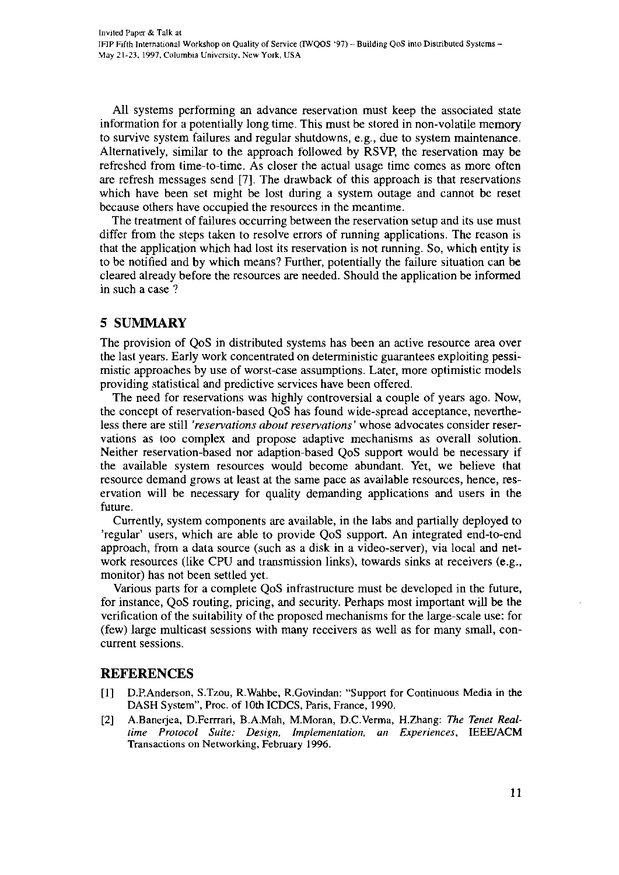All systems performing an advance reservation must keep the associated state information for a potentially long time. This must be stored in non-volatile memory to survive system failures and regular shutdowns, e.g., due to system maintenance. Alternatively, similar to the approach followed by RSVP, the reservation may be refreshed from time-to-time. As closer the actual usage time Comes as more often are refresh messages send [7]. The drawback of this approach is that reservations which have been set might be lost during a system outage and cannot be reset because others have occupied the resources in the meantime.

The treatment of failures occurring between the reservation setup and its use must differ from the steps taken to resolve errors of mnning applications. The reason is that the application which had lost its reservation is not mnning. So, which entity is tobe notified and by which means? Further, potentially the failure situation can be cleared already before the resources are needed. Should the application be informed in such a case ?

#### **5 SUMMARY**

The provision of QoS in distributed systems has been an active resource area over the last years. Early work concentrated on deterministic guarantees exploiting pessimistic approaches by use of worst-case assumptions. Later, more optimistic models providing statistical and predictive services have been offered.

The need for reservations was highly controversial a couple of years ago. Now, the concept of reservation-based QoS has found wide-spread acceptance, nevertheless there are still *'reservations about reservntions'* whose advocates consider reservations as too complex and propose adaptive mechanisms as overall solution. Neither reservation-based nor adaption-based QoS support would be necessary if the available system resources would become abundant. Yet, we believe that resource demand grows at least at the same Pace as available resources, hence, reservation will be necessary for quality demanding applications and users in the future.

Currently, system components are available, in the labs and partially deployed to 'regular' users, which are able to provide QoS support. An integrated end-to-end approach, from a data source (such as a disk in a video-server), via local and network resources (like CPU and transmission links), towards sinks at receivers (e.g., monitor) has not been settled yet.

Various parts for a complete QoS infrastmcture must be developed in the future, for instance, QoS routing, pricing, and security. Perhaps most important will **be** the verification of the suitability of the proposed mechanisms for the large-scale use: for (few) large multicast sessions with many receivers as well as for many small, concurrent sessions.

#### **REFERENCES**

- [l] D.P.Anderson, S.Tzou, R.Wahbe, R.Govindan: "Support for Continuous Media in ihe DASH System", Proc. of 10th ICDCS, Paris, France, 1990.
- [2] A.Banerjea, D.Ferrrari, B.A.Mah, M.Moran, D.C.Verma, H.Zhang: The Tenet Realtime Protocol Suite: Design, Implementation, an Experiences, IEEE/ACM Transactions an Networking, Febmary 1996.